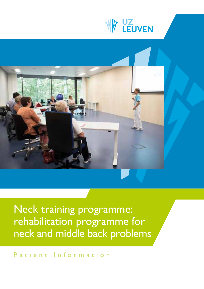



Neck training programme: rehabilitation programme for neck and middle back problems

Patient Information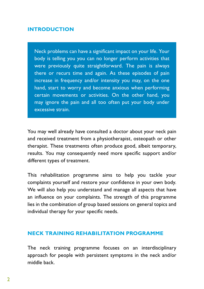## **INTRODUCTION**

Neck problems can have a significant impact on your life. Your body is telling you you can no longer perform activities that were previously quite straightforward. The pain is always there or recurs time and again. As these episodes of pain increase in frequency and/or intensity you may, on the one hand, start to worry and become anxious when performing certain movements or activities. On the other hand, you may ignore the pain and all too often put your body under excessive strain.

You may well already have consulted a doctor about your neck pain and received treatment from a physiotherapist, osteopath or other therapist. These treatments often produce good, albeit temporary, results. You may consequently need more specific support and/or different types of treatment.

This rehabilitation programme aims to help you tackle your complaints yourself and restore your confidence in your own body. We will also help you understand and manage all aspects that have an influence on your complaints. The strength of this programme lies in the combination of group based sessions on general topics and individual therapy for your specific needs.

## **NECK TRAINING REHABILITATION PROGRAMME**

The neck training programme focuses on an interdisciplinary approach for people with persistent symptoms in the neck and/or middle back.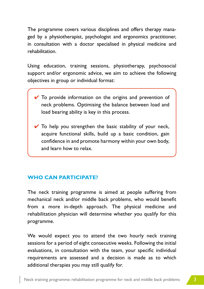The programme covers various disciplines and offers therapy managed by a physiotherapist, psychologist and ergonomics practitioner, in consultation with a doctor specialised in physical medicine and rehabilitation.

Using education, training sessions, physiotherapy, psychosocial support and/or ergonomic advice, we aim to achieve the following objectives in group or individual format:

- $\vee$  To provide information on the origins and prevention of neck problems. Optimising the balance between load and load bearing ability is key in this process.
- $\vee$  To help you strengthen the basic stability of your neck, acquire functional skills, build up a basic condition, gain confidence in and promote harmony within your own body, and learn how to relax.

# **WHO CAN PARTICIPATE?**

The neck training programme is aimed at people suffering from mechanical neck and/or middle back problems, who would benefit from a more in-depth approach. The physical medicine and rehabilitation physician will determine whether you qualify for this programme.

We would expect you to attend the two hourly neck training sessions for a period of eight consecutive weeks. Following the initial evaluations, in consultation with the team, your specific individual requirements are assessed and a decision is made as to which additional therapies you may still qualify for.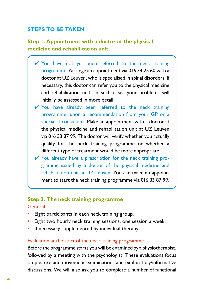# **STEPS TO BE TAKEN**

**Step 1. Appointment with a doctor at the physical medicine and rehabilitation unit.**

- ✔ You have not yet been referred to the neck training programme. Arrange an appointment via 016 34 25 60 with a doctor at UZ Leuven, who is specialised in spinal disorders. If necessary, this doctor can refer you to the physical medicine and rehabilitation unit. In such cases your problems will initially be assessed in more detail.
- ✔ You have already been referred to the neck training programme, upon a recommendation from your GP or a specialist consultant. Make an appointment with a doctor at the physical medicine and rehabilitation unit at UZ Leuven via 016 33 87 99. The doctor will verify whether you actually qualify for the neck training programme or whether a different type of treatment would be more appropriate.
- $\vee$  You already have a prescription for the neck training programme issued by a doctor of the physical medicine and rehabilitation unit at UZ Leuven. You can make an appointment to start the neck training programme via 016 33 87 99.

# **Step 2. The neck training programme**

### General

- Eight participants in each neck training group.
- Eight two hourly neck training sessions, one session a week.
- If necessary supplemented by individual therapy.

### Evaluation at the start of the neck training programme

Before the programme starts you will be examined by a physiotherapist, followed by a meeting with the psychologist. These evaluations focus on posture and movement examinations and exploratory/informative discussions. We will also ask you to complete a number of functional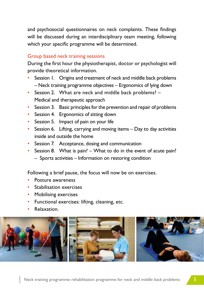and psychosocial questionnaires on neck complaints. These findings will be discussed during an interdisciplinary team meeting, following which your specific programme will be determined.

#### Group based neck training sessions

During the first hour the physiotherapist, doctor or psychologist will provide theoretical information.

- Session 1. Origins and treatment of neck and middle back problems – Neck training programme objectives – Ergonomics of lying down
- Session 2. What are neck and middle back problems? Medical and therapeutic approach
- Session 3. Basic principles for the prevention and repair of problems
- Session 4. Ergonomics of sitting down
- Session 5. Impact of pain on your life
- Session 6. Lifting, carrying and moving items Day to day activities inside and outside the home
- Session 7. Acceptance, dosing and communication
- Session 8. What is pain? What to do in the event of acute pain?
	- Sports activities Information on restoring condition

Following a brief pause, the focus will now be on exercises.

- Posture awareness
- Stabilisation exercises
- Mobilising exercises
- Functional exercises: lifting, cleaning, etc.
- Relaxation.

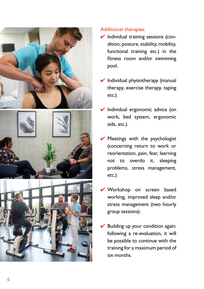





# Additional therapies

- $\vee$  Individual training sessions (condition, posture, stability, mobility, functional training etc.) in the fitness room and/or swimming pool.
- $\vee$  Individual physiotherapy (manual therapy, exercise therapy, taping etc.).
- **✓** Individual ergonomic advice (on work, bed system, ergonomic aids, etc.).
- $\vee$  Meetings with the psychologist (concerning return to work or reorientation, pain, fear, learning not to overdo it, sleeping problems, stress management, etc.).
- ✔ Workshop on screen based working, improved sleep and/or stress management (two hourly group sessions).
- Building up your condition again: following a re -evaluation, it will be possible to continue with the training for a maximum period of six months.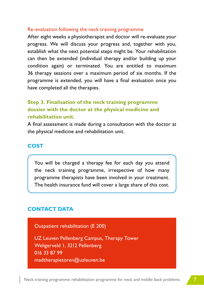#### Re-evaluation following the neck training programme

After eight weeks a physiotherapist and doctor will re-evaluate your progress. We will discuss your progress and, together with you, establish what the next potential steps might be. Your rehabilitation can then be extended (individual therapy and/or building up your condition again) or terminated. You are entitled to maximum 36 therapy sessions over a maximum period of six months. If the programme is extended, you will have a final evaluation once you have completed all the therapies.

# **Step 3. Finalisation of the neck training programme dossier with the doctor at the physical medicine and rehabilitation unit.**

A final assessment is made during a consultation with the doctor at the physical medicine and rehabilitation unit.

## **COST**

You will be charged a therapy fee for each day you attend the neck training programme, irrespective of how many programme therapists have been involved in your treatment. The health insurance fund will cover a large share of this cost.

## **CONTACT DATA**

Outpatient rehabilitation (E 200)

UZ Leuven Pellenberg Campus, Therapy Tower Weligerveld 1, 3212 Pellenberg 016 33 87 99 madtherapietoren@uzleuven.be